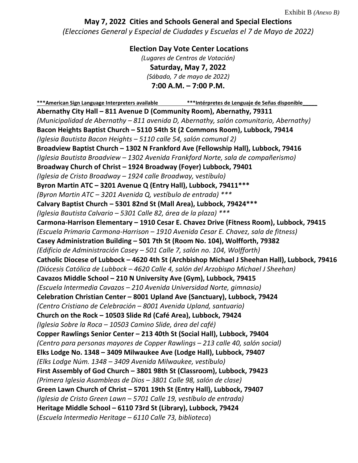Exhibit B *(Anexo B)*

## **May 7, 2022 Cities and Schools General and Special Elections** *(Elecciones General y Especial de Ciudades y Escuelas el 7 de Mayo de 2022)*

**Election Day Vote Center Locations**  *(Lugares de Centros de Votación)* **Saturday, May 7, 2022** *(Sábado, 7 de mayo de 2022)*  **7:00 A.M. – 7:00 P.M.**

**\*\*\*American Sign Language Interpreters available \*\*\*Intérpretes de Lenguaje de Señas disponible\_\_\_\_\_ Abernathy City Hall – 811 Avenue D (Community Room), Abernathy, 79311**  *(Municipalidad de Abernathy – 811 avenida D, Abernathy, salón comunitario, Abernathy)*  **Bacon Heights Baptist Church – 5110 54th St (2 Commons Room), Lubbock, 79414**  *(Iglesia Bautista Bacon Heights – 5110 calle 54, salón comunal 2)*  **Broadview Baptist Church – 1302 N Frankford Ave (Fellowship Hall), Lubbock, 79416**  *(Iglesia Bautista Broadview – 1302 Avenida Frankford Norte, sala de compañerismo)*  **Broadway Church of Christ – 1924 Broadway (Foyer) Lubbock, 79401**  *(Iglesia de Cristo Broadway – 1924 calle Broadway,* v*estíbulo)*  **Byron Martin ATC – 3201 Avenue Q (Entry Hall), Lubbock, 79411\*\*\***  *(Byron Martin ATC – 3201 Avenida Q, vestíbulo de entrada) \*\*\**  **Calvary Baptist Church – 5301 82nd St (Mall Area), Lubbock, 79424\*\*\***  *(Iglesia Bautista Calvario – 5301 Calle 82, área de la plaza) \*\*\**  **Carmona-Harrison Elementary – 1910 Cesar E. Chavez Drive (Fitness Room), Lubbock, 79415**  *(Escuela Primaria Carmona-Harrison – 1910 Avenida Cesar E. Chavez, sala de fitness)*  **Casey Administration Building – 501 7th St (Room No. 104), Wolfforth, 79382**  *(Edificio de Administración Casey – 501 Calle 7, salón no. 104, Wolfforth)*  **Catholic Diocese of Lubbock – 4620 4th St (Archbishop Michael J Sheehan Hall), Lubbock, 79416**  *(Diócesis Católica de Lubbock – 4620 Calle 4, salón del Arzobispo Michael J Sheehan)*  **Cavazos Middle School – 210 N University Ave (Gym), Lubbock, 79415** *(Escuela Intermedia Cavazos – 210 Avenida Universidad Norte, gimnasio)*  **Celebration Christian Center – 8001 Upland Ave (Sanctuary), Lubbock, 79424**  *(Centro Cristiano de Celebración – 8001 Avenida Upland, santuario)*  **Church on the Rock – 10503 Slide Rd (Café Area), Lubbock, 79424**  *(Iglesia Sobre la Roca – 10503 Camino Slide, área del café)*  **Copper Rawlings Senior Center – 213 40th St (Social Hall), Lubbock, 79404**  *(Centro para personas mayores de Copper Rawlings – 213 calle 40, salón social)*  **Elks Lodge No. 1348 – 3409 Milwaukee Ave (Lodge Hall), Lubbock, 79407**  *(Elks Lodge Núm. 1348 – 3409 Avenida Milwaukee, vestíbulo)*  **First Assembly of God Church – 3801 98th St (Classroom), Lubbock, 79423**  *(Primera Iglesia Asambleas de Dios – 3801 Calle 98, salón de clase)*  **Green Lawn Church of Christ – 5701 19th St (Entry Hall), Lubbock, 79407**  *(Iglesia de Cristo Green Lawn – 5701 Calle 19, vestíbulo de entrada)*  **Heritage Middle School – 6110 73rd St (Library), Lubbock, 79424**  (*Escuela Intermedio Heritage – 6110 Calle 73, biblioteca*)